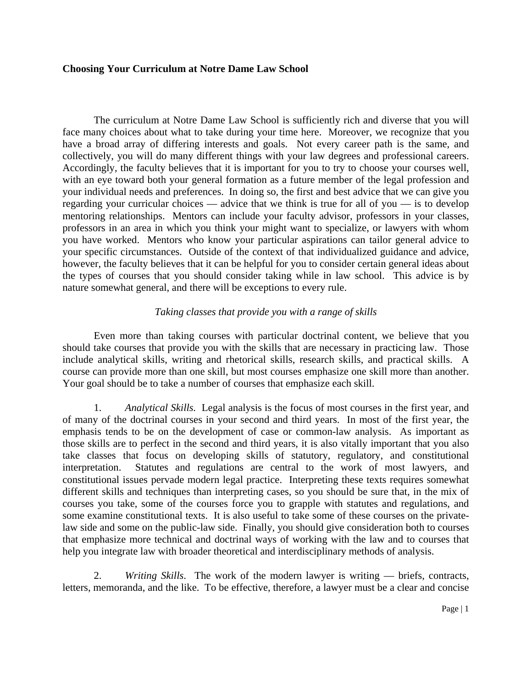## **Choosing Your Curriculum at Notre Dame Law School**

The curriculum at Notre Dame Law School is sufficiently rich and diverse that you will face many choices about what to take during your time here. Moreover, we recognize that you have a broad array of differing interests and goals. Not every career path is the same, and collectively, you will do many different things with your law degrees and professional careers. Accordingly, the faculty believes that it is important for you to try to choose your courses well, with an eye toward both your general formation as a future member of the legal profession and your individual needs and preferences. In doing so, the first and best advice that we can give you regarding your curricular choices — advice that we think is true for all of you — is to develop mentoring relationships. Mentors can include your faculty advisor, professors in your classes, professors in an area in which you think your might want to specialize, or lawyers with whom you have worked. Mentors who know your particular aspirations can tailor general advice to your specific circumstances. Outside of the context of that individualized guidance and advice, however, the faculty believes that it can be helpful for you to consider certain general ideas about the types of courses that you should consider taking while in law school. This advice is by nature somewhat general, and there will be exceptions to every rule.

## *Taking classes that provide you with a range of skills*

Even more than taking courses with particular doctrinal content, we believe that you should take courses that provide you with the skills that are necessary in practicing law. Those include analytical skills, writing and rhetorical skills, research skills, and practical skills. A course can provide more than one skill, but most courses emphasize one skill more than another. Your goal should be to take a number of courses that emphasize each skill.

1. *Analytical Skills.* Legal analysis is the focus of most courses in the first year, and of many of the doctrinal courses in your second and third years. In most of the first year, the emphasis tends to be on the development of case or common-law analysis. As important as those skills are to perfect in the second and third years, it is also vitally important that you also take classes that focus on developing skills of statutory, regulatory, and constitutional interpretation. Statutes and regulations are central to the work of most lawyers, and constitutional issues pervade modern legal practice. Interpreting these texts requires somewhat different skills and techniques than interpreting cases, so you should be sure that, in the mix of courses you take, some of the courses force you to grapple with statutes and regulations, and some examine constitutional texts. It is also useful to take some of these courses on the privatelaw side and some on the public-law side. Finally, you should give consideration both to courses that emphasize more technical and doctrinal ways of working with the law and to courses that help you integrate law with broader theoretical and interdisciplinary methods of analysis.

2. *Writing Skills*. The work of the modern lawyer is writing — briefs, contracts, letters, memoranda, and the like. To be effective, therefore, a lawyer must be a clear and concise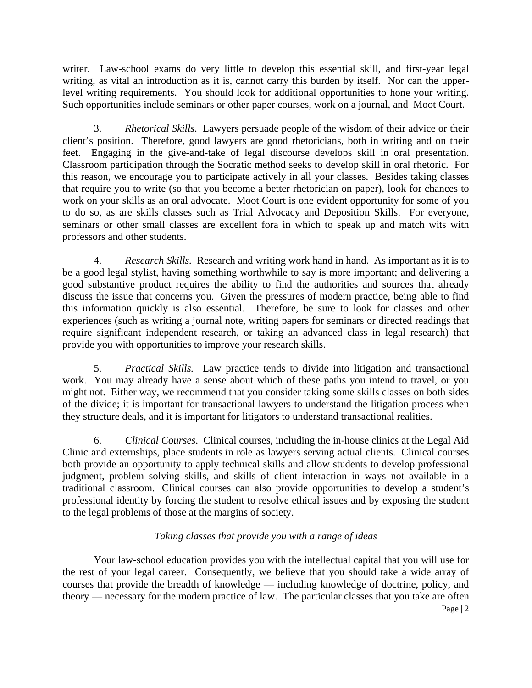writer. Law-school exams do very little to develop this essential skill, and first-year legal writing, as vital an introduction as it is, cannot carry this burden by itself. Nor can the upperlevel writing requirements. You should look for additional opportunities to hone your writing. Such opportunities include seminars or other paper courses, work on a journal, and Moot Court.

3. *Rhetorical Skills*. Lawyers persuade people of the wisdom of their advice or their client's position. Therefore, good lawyers are good rhetoricians, both in writing and on their feet. Engaging in the give-and-take of legal discourse develops skill in oral presentation. Classroom participation through the Socratic method seeks to develop skill in oral rhetoric. For this reason, we encourage you to participate actively in all your classes. Besides taking classes that require you to write (so that you become a better rhetorician on paper), look for chances to work on your skills as an oral advocate. Moot Court is one evident opportunity for some of you to do so, as are skills classes such as Trial Advocacy and Deposition Skills. For everyone, seminars or other small classes are excellent fora in which to speak up and match wits with professors and other students.

4. *Research Skills.* Research and writing work hand in hand. As important as it is to be a good legal stylist, having something worthwhile to say is more important; and delivering a good substantive product requires the ability to find the authorities and sources that already discuss the issue that concerns you. Given the pressures of modern practice, being able to find this information quickly is also essential. Therefore, be sure to look for classes and other experiences (such as writing a journal note, writing papers for seminars or directed readings that require significant independent research, or taking an advanced class in legal research) that provide you with opportunities to improve your research skills.

5. *Practical Skills.* Law practice tends to divide into litigation and transactional work. You may already have a sense about which of these paths you intend to travel, or you might not. Either way, we recommend that you consider taking some skills classes on both sides of the divide; it is important for transactional lawyers to understand the litigation process when they structure deals, and it is important for litigators to understand transactional realities.

 6. *Clinical Courses*. Clinical courses, including the in-house clinics at the Legal Aid Clinic and externships, place students in role as lawyers serving actual clients. Clinical courses both provide an opportunity to apply technical skills and allow students to develop professional judgment, problem solving skills, and skills of client interaction in ways not available in a traditional classroom. Clinical courses can also provide opportunities to develop a student's professional identity by forcing the student to resolve ethical issues and by exposing the student to the legal problems of those at the margins of society.

## *Taking classes that provide you with a range of ideas*

Page | 2 Your law-school education provides you with the intellectual capital that you will use for the rest of your legal career. Consequently, we believe that you should take a wide array of courses that provide the breadth of knowledge — including knowledge of doctrine, policy, and theory — necessary for the modern practice of law. The particular classes that you take are often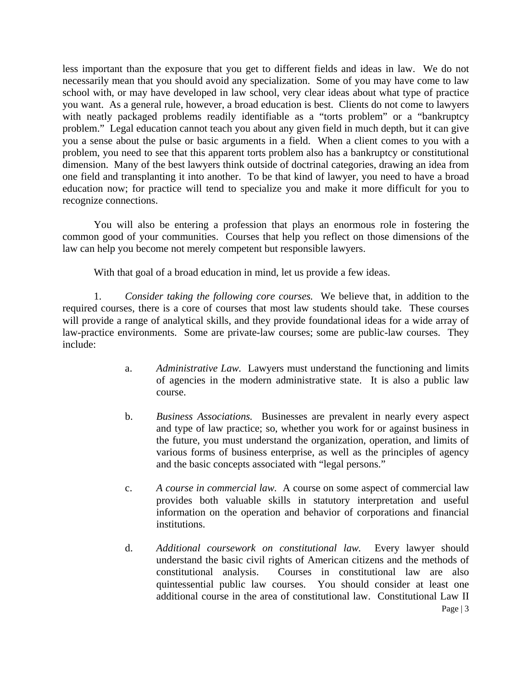less important than the exposure that you get to different fields and ideas in law. We do not necessarily mean that you should avoid any specialization. Some of you may have come to law school with, or may have developed in law school, very clear ideas about what type of practice you want. As a general rule, however, a broad education is best. Clients do not come to lawyers with neatly packaged problems readily identifiable as a "torts problem" or a "bankruptcy problem." Legal education cannot teach you about any given field in much depth, but it can give you a sense about the pulse or basic arguments in a field. When a client comes to you with a problem, you need to see that this apparent torts problem also has a bankruptcy or constitutional dimension. Many of the best lawyers think outside of doctrinal categories, drawing an idea from one field and transplanting it into another. To be that kind of lawyer, you need to have a broad education now; for practice will tend to specialize you and make it more difficult for you to recognize connections.

You will also be entering a profession that plays an enormous role in fostering the common good of your communities. Courses that help you reflect on those dimensions of the law can help you become not merely competent but responsible lawyers.

With that goal of a broad education in mind, let us provide a few ideas.

1. *Consider taking the following core courses.* We believe that, in addition to the required courses, there is a core of courses that most law students should take. These courses will provide a range of analytical skills, and they provide foundational ideas for a wide array of law-practice environments. Some are private-law courses; some are public-law courses. They include:

- a. *Administrative Law.* Lawyers must understand the functioning and limits of agencies in the modern administrative state. It is also a public law course.
- b. *Business Associations.* Businesses are prevalent in nearly every aspect and type of law practice; so, whether you work for or against business in the future, you must understand the organization, operation, and limits of various forms of business enterprise, as well as the principles of agency and the basic concepts associated with "legal persons."
- c. *A course in commercial law.* A course on some aspect of commercial law provides both valuable skills in statutory interpretation and useful information on the operation and behavior of corporations and financial institutions.
- Page | 3 d. *Additional coursework on constitutional law.* Every lawyer should understand the basic civil rights of American citizens and the methods of constitutional analysis. Courses in constitutional law are also quintessential public law courses. You should consider at least one additional course in the area of constitutional law. Constitutional Law II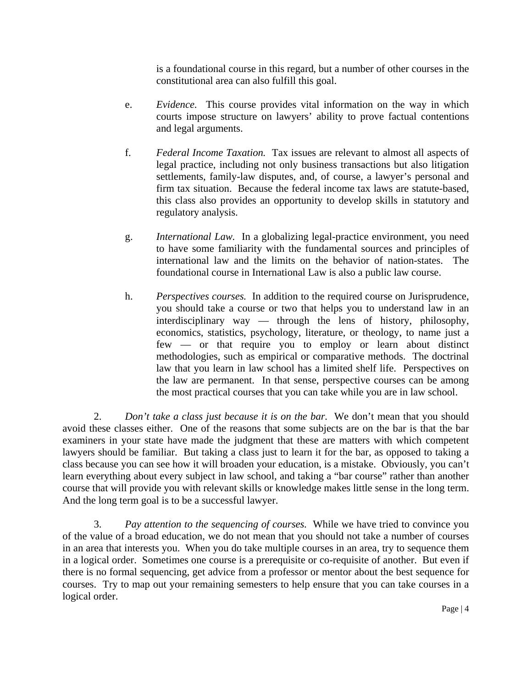is a foundational course in this regard, but a number of other courses in the constitutional area can also fulfill this goal.

- e. *Evidence.* This course provides vital information on the way in which courts impose structure on lawyers' ability to prove factual contentions and legal arguments.
- f. *Federal Income Taxation.* Tax issues are relevant to almost all aspects of legal practice, including not only business transactions but also litigation settlements, family-law disputes, and, of course, a lawyer's personal and firm tax situation. Because the federal income tax laws are statute-based, this class also provides an opportunity to develop skills in statutory and regulatory analysis.
- g. *International Law.* In a globalizing legal-practice environment, you need to have some familiarity with the fundamental sources and principles of international law and the limits on the behavior of nation-states. The foundational course in International Law is also a public law course.
- h. *Perspectives courses.* In addition to the required course on Jurisprudence, you should take a course or two that helps you to understand law in an interdisciplinary way — through the lens of history, philosophy, economics, statistics, psychology, literature, or theology, to name just a few — or that require you to employ or learn about distinct methodologies, such as empirical or comparative methods. The doctrinal law that you learn in law school has a limited shelf life. Perspectives on the law are permanent. In that sense, perspective courses can be among the most practical courses that you can take while you are in law school.

2. *Don't take a class just because it is on the bar.* We don't mean that you should avoid these classes either. One of the reasons that some subjects are on the bar is that the bar examiners in your state have made the judgment that these are matters with which competent lawyers should be familiar. But taking a class just to learn it for the bar, as opposed to taking a class because you can see how it will broaden your education, is a mistake. Obviously, you can't learn everything about every subject in law school, and taking a "bar course" rather than another course that will provide you with relevant skills or knowledge makes little sense in the long term. And the long term goal is to be a successful lawyer.

3. *Pay attention to the sequencing of courses.* While we have tried to convince you of the value of a broad education, we do not mean that you should not take a number of courses in an area that interests you. When you do take multiple courses in an area, try to sequence them in a logical order. Sometimes one course is a prerequisite or co-requisite of another. But even if there is no formal sequencing, get advice from a professor or mentor about the best sequence for courses. Try to map out your remaining semesters to help ensure that you can take courses in a logical order.